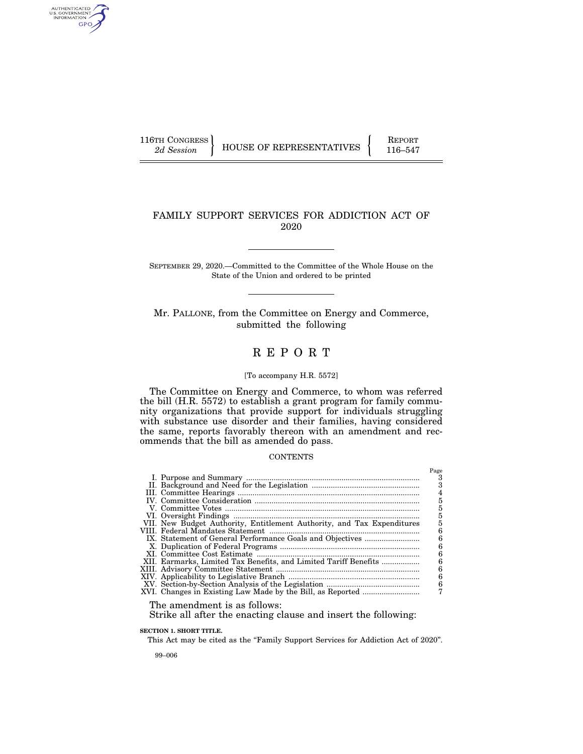AUTHENTICATED<br>U.S. GOVERNMENT<br>INFORMATION GPO

116TH CONGRESS HOUSE OF REPRESENTATIVES FEPORT 116–547

# FAMILY SUPPORT SERVICES FOR ADDICTION ACT OF 2020

SEPTEMBER 29, 2020.—Committed to the Committee of the Whole House on the State of the Union and ordered to be printed

Mr. PALLONE, from the Committee on Energy and Commerce, submitted the following

# R E P O R T

# [To accompany H.R. 5572]

The Committee on Energy and Commerce, to whom was referred the bill (H.R. 5572) to establish a grant program for family community organizations that provide support for individuals struggling with substance use disorder and their families, having considered the same, reports favorably thereon with an amendment and recommends that the bill as amended do pass.

# **CONTENTS**

|                                                                        | Page |
|------------------------------------------------------------------------|------|
|                                                                        | 3    |
|                                                                        | з    |
|                                                                        | 4    |
|                                                                        | 5    |
|                                                                        | 5    |
|                                                                        | 5    |
| VII. New Budget Authority, Entitlement Authority, and Tax Expenditures | 5    |
|                                                                        | 6    |
|                                                                        | 6    |
|                                                                        | 6    |
|                                                                        | 6    |
| XII. Earmarks, Limited Tax Benefits, and Limited Tariff Benefits       | 6    |
|                                                                        | 6    |
|                                                                        | 6    |
|                                                                        | 6    |
|                                                                        |      |
|                                                                        |      |

The amendment is as follows:

Strike all after the enacting clause and insert the following:

**SECTION 1. SHORT TITLE.** 

This Act may be cited as the "Family Support Services for Addiction Act of 2020".

99–006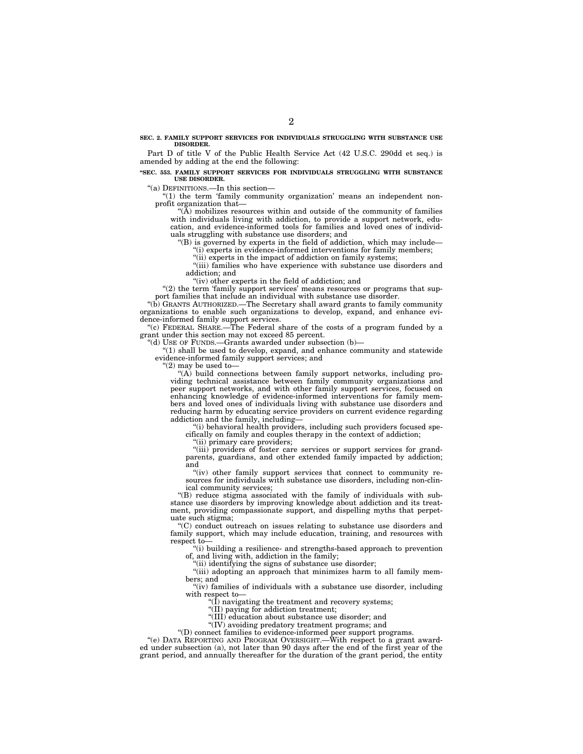**SEC. 2. FAMILY SUPPORT SERVICES FOR INDIVIDUALS STRUGGLING WITH SUBSTANCE USE DISORDER.** 

Part D of title V of the Public Health Service Act (42 U.S.C. 290dd et seq.) is amended by adding at the end the following:

#### **''SEC. 553. FAMILY SUPPORT SERVICES FOR INDIVIDUALS STRUGGLING WITH SUBSTANCE USE DISORDER.**

''(a) DEFINITIONS.—In this section—

''(1) the term 'family community organization' means an independent nonprofit organization that—

''(A) mobilizes resources within and outside of the community of families with individuals living with addiction, to provide a support network, education, and evidence-informed tools for families and loved ones of individuals struggling with substance use disorders; and

''(B) is governed by experts in the field of addiction, which may include—

"(i) experts in evidence-informed interventions for family members;

"(ii) experts in the impact of addiction on family systems;

''(iii) families who have experience with substance use disorders and addiction; and

"(iv) other experts in the field of addiction; and

"(2) the term 'family support services' means resources or programs that support families that include an individual with substance use disorder.

''(b) GRANTS AUTHORIZED.—The Secretary shall award grants to family community organizations to enable such organizations to develop, expand, and enhance evidence-informed family support services.

''(c) FEDERAL SHARE.—The Federal share of the costs of a program funded by a grant under this section may not exceed 85 percent.

''(d) USE OF FUNDS.—Grants awarded under subsection (b)—

''(1) shall be used to develop, expand, and enhance community and statewide evidence-informed family support services; and

''(2) may be used to—

''(A) build connections between family support networks, including providing technical assistance between family community organizations and peer support networks, and with other family support services, focused on enhancing knowledge of evidence-informed interventions for family members and loved ones of individuals living with substance use disorders and reducing harm by educating service providers on current evidence regarding addiction and the family, including—

''(i) behavioral health providers, including such providers focused specifically on family and couples therapy in the context of addiction;

''(ii) primary care providers;

"(iii) providers of foster care services or support services for grandparents, guardians, and other extended family impacted by addiction; and

 $f(iv)$  other family support services that connect to community resources for individuals with substance use disorders, including non-clinical community services;

''(B) reduce stigma associated with the family of individuals with substance use disorders by improving knowledge about addiction and its treatment, providing compassionate support, and dispelling myths that perpetuate such stigma;

''(C) conduct outreach on issues relating to substance use disorders and family support, which may include education, training, and resources with respect to—

''(i) building a resilience- and strengths-based approach to prevention of, and living with, addiction in the family;

"(ii) identifying the signs of substance use disorder;

''(iii) adopting an approach that minimizes harm to all family members; and

"(iv) families of individuals with a substance use disorder, including with respect to—

''(I) navigating the treatment and recovery systems;

''(II) paying for addiction treatment;

''(III) education about substance use disorder; and

''(IV) avoiding predatory treatment programs; and

''(D) connect families to evidence-informed peer support programs.

"(e) DATA REPORTING AND PROGRAM OVERSIGHT.—With respect to a grant awarded under subsection (a), not later than 90 days after the end of the first year of the grant period, and annually thereafter for the duration of the grant period, the entity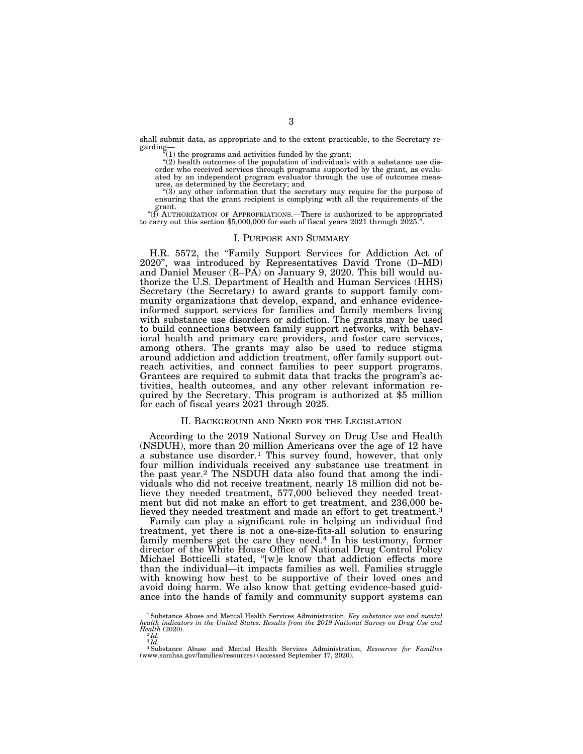shall submit data, as appropriate and to the extent practicable, to the Secretary re-

garding—<br>
"(1) the programs and activities funded by the grant;<br>
"(2) health outcomes of the population of individuals with a substance use dis-<br>
order who received services through programs supported by the grant, as eval ated by an independent program evaluator through the use of outcomes measures, as determined by the Secretary; and

 $(3)$  any other information that the secretary may require for the purpose of ensuring that the grant recipient is complying with all the requirements of the

grant.<br>"(f) AUTHORIZATION OF APPROPRIATIONS.—There is authorized to be appropriated to carry out this section \$5,000,000 for each of fiscal years  $2021$  through  $2025$ .".

#### I. PURPOSE AND SUMMARY

H.R. 5572, the ''Family Support Services for Addiction Act of 2020'', was introduced by Representatives David Trone (D–MD) and Daniel Meuser (R–PA) on January 9, 2020. This bill would authorize the U.S. Department of Health and Human Services (HHS) Secretary (the Secretary) to award grants to support family community organizations that develop, expand, and enhance evidenceinformed support services for families and family members living with substance use disorders or addiction. The grants may be used to build connections between family support networks, with behavioral health and primary care providers, and foster care services, among others. The grants may also be used to reduce stigma around addiction and addiction treatment, offer family support outreach activities, and connect families to peer support programs. Grantees are required to submit data that tracks the program's activities, health outcomes, and any other relevant information required by the Secretary. This program is authorized at \$5 million for each of fiscal years 2021 through 2025.

#### II. BACKGROUND AND NEED FOR THE LEGISLATION

According to the 2019 National Survey on Drug Use and Health (NSDUH), more than 20 million Americans over the age of 12 have a substance use disorder.<sup>1</sup> This survey found, however, that only four million individuals received any substance use treatment in the past year.2 The NSDUH data also found that among the individuals who did not receive treatment, nearly 18 million did not believe they needed treatment, 577,000 believed they needed treatment but did not make an effort to get treatment, and 236,000 believed they needed treatment and made an effort to get treatment.<sup>3</sup>

Family can play a significant role in helping an individual find treatment, yet there is not a one-size-fits-all solution to ensuring family members get the care they need.4 In his testimony, former director of the White House Office of National Drug Control Policy Michael Botticelli stated, "[w]e know that addiction effects more than the individual—it impacts families as well. Families struggle with knowing how best to be supportive of their loved ones and avoid doing harm. We also know that getting evidence-based guidance into the hands of family and community support systems can

<sup>1</sup>Substance Abuse and Mental Health Services Administration. *Key substance use and mental health indicators in the United States: Results from the 2019 National Survey on Drug Use and Health* (2020). 2 *Id.* 

 $\frac{2 \ddot{d}}{3 \ddot{d}}$ 

<sup>4</sup>Substance Abuse and Mental Health Services Administration, *Resources for Families*  (www.samhsa.gov/families/resources) (accessed September 17, 2020).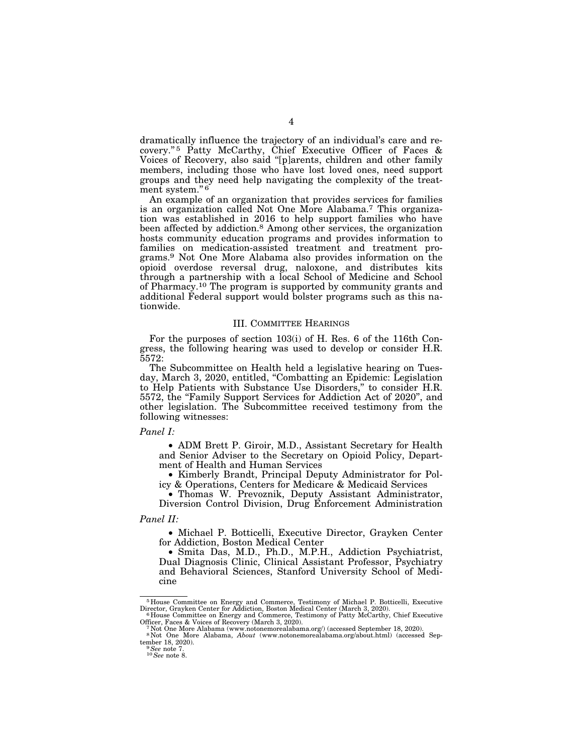dramatically influence the trajectory of an individual's care and recovery."<sup>5</sup> Patty McCarthy, Chief Executive Officer of Faces & Voices of Recovery, also said ''[p]arents, children and other family members, including those who have lost loved ones, need support groups and they need help navigating the complexity of the treatment system."<sup>6</sup>

An example of an organization that provides services for families is an organization called Not One More Alabama.7 This organization was established in 2016 to help support families who have been affected by addiction.8 Among other services, the organization hosts community education programs and provides information to families on medication-assisted treatment and treatment programs.9 Not One More Alabama also provides information on the opioid overdose reversal drug, naloxone, and distributes kits through a partnership with a local School of Medicine and School of Pharmacy.10 The program is supported by community grants and additional Federal support would bolster programs such as this nationwide.

## III. COMMITTEE HEARINGS

For the purposes of section 103(i) of H. Res. 6 of the 116th Congress, the following hearing was used to develop or consider H.R. 5572:

The Subcommittee on Health held a legislative hearing on Tuesday, March 3, 2020, entitled, ''Combatting an Epidemic: Legislation to Help Patients with Substance Use Disorders,'' to consider H.R. 5572, the "Family Support Services for Addiction Act of 2020", and other legislation. The Subcommittee received testimony from the following witnesses:

#### *Panel I:*

• ADM Brett P. Giroir, M.D., Assistant Secretary for Health and Senior Adviser to the Secretary on Opioid Policy, Department of Health and Human Services

• Kimberly Brandt, Principal Deputy Administrator for Policy & Operations, Centers for Medicare & Medicaid Services

• Thomas W. Prevoznik, Deputy Assistant Administrator, Diversion Control Division, Drug Enforcement Administration

#### *Panel II:*

• Michael P. Botticelli, Executive Director, Grayken Center for Addiction, Boston Medical Center

• Smita Das, M.D., Ph.D., M.P.H., Addiction Psychiatrist, Dual Diagnosis Clinic, Clinical Assistant Professor, Psychiatry and Behavioral Sciences, Stanford University School of Medicine

 $^{5}$  House Committee on Energy and Commerce, Testimony of Michael P. Botticelli, Executive Director, Grayken Center for Addiction, Boston Medical Center (March 3, 2020).<br>  $^{6}$  House Committee on Energy and Commerce, Tes

Officer, Faces & Voices of Recovery (March 3, 2020).<br><sup>7</sup> Not One More Alabama (www.notonemorealabama.org/) (accessed September 18, 2020).<br><sup>8</sup> Not One More Alabama, *About* (www.notonemorealabama.org/about.html) (acces tember 18, 2020). 9*See* note 7. 10*See* note 8.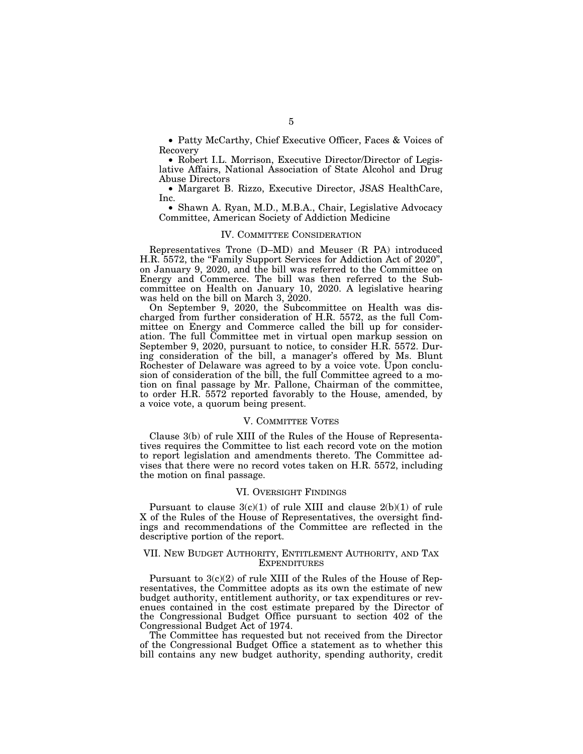• Patty McCarthy, Chief Executive Officer, Faces & Voices of Recovery

• Robert I.L. Morrison, Executive Director/Director of Legislative Affairs, National Association of State Alcohol and Drug Abuse Directors

• Margaret B. Rizzo, Executive Director, JSAS HealthCare, Inc.

• Shawn A. Ryan, M.D., M.B.A., Chair, Legislative Advocacy Committee, American Society of Addiction Medicine

## IV. COMMITTEE CONSIDERATION

Representatives Trone (D–MD) and Meuser (R PA) introduced H.R. 5572, the "Family Support Services for Addiction Act of 2020", on January 9, 2020, and the bill was referred to the Committee on Energy and Commerce. The bill was then referred to the Subcommittee on Health on January 10, 2020. A legislative hearing was held on the bill on March 3, 2020.

On September 9, 2020, the Subcommittee on Health was discharged from further consideration of H.R. 5572, as the full Committee on Energy and Commerce called the bill up for consideration. The full Committee met in virtual open markup session on September 9, 2020, pursuant to notice, to consider H.R. 5572. During consideration of the bill, a manager's offered by Ms. Blunt Rochester of Delaware was agreed to by a voice vote. Upon conclusion of consideration of the bill, the full Committee agreed to a motion on final passage by Mr. Pallone, Chairman of the committee, to order H.R. 5572 reported favorably to the House, amended, by a voice vote, a quorum being present.

#### V. COMMITTEE VOTES

Clause 3(b) of rule XIII of the Rules of the House of Representatives requires the Committee to list each record vote on the motion to report legislation and amendments thereto. The Committee advises that there were no record votes taken on H.R. 5572, including the motion on final passage.

#### VI. OVERSIGHT FINDINGS

Pursuant to clause  $3(c)(1)$  of rule XIII and clause  $2(b)(1)$  of rule X of the Rules of the House of Representatives, the oversight findings and recommendations of the Committee are reflected in the descriptive portion of the report.

#### VII. NEW BUDGET AUTHORITY, ENTITLEMENT AUTHORITY, AND TAX **EXPENDITURES**

Pursuant to 3(c)(2) of rule XIII of the Rules of the House of Representatives, the Committee adopts as its own the estimate of new budget authority, entitlement authority, or tax expenditures or revenues contained in the cost estimate prepared by the Director of the Congressional Budget Office pursuant to section 402 of the Congressional Budget Act of 1974.

The Committee has requested but not received from the Director of the Congressional Budget Office a statement as to whether this bill contains any new budget authority, spending authority, credit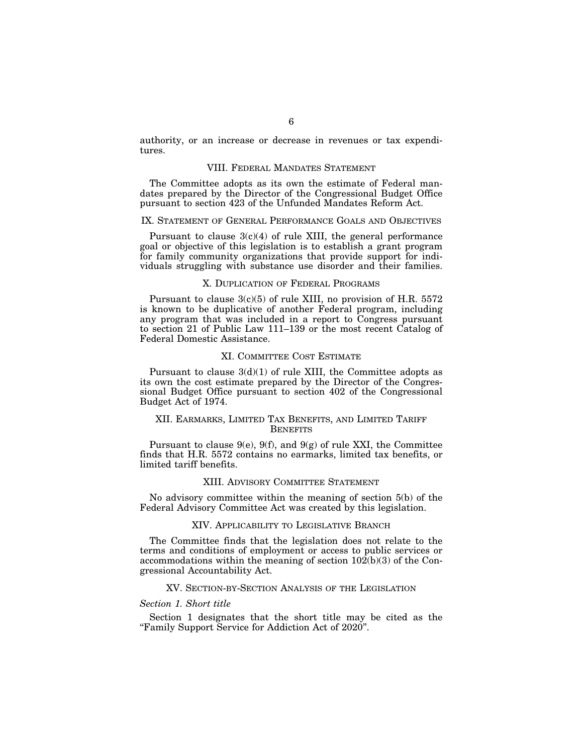authority, or an increase or decrease in revenues or tax expenditures.

#### VIII. FEDERAL MANDATES STATEMENT

The Committee adopts as its own the estimate of Federal mandates prepared by the Director of the Congressional Budget Office pursuant to section 423 of the Unfunded Mandates Reform Act.

## IX. STATEMENT OF GENERAL PERFORMANCE GOALS AND OBJECTIVES

Pursuant to clause  $3(c)(4)$  of rule XIII, the general performance goal or objective of this legislation is to establish a grant program for family community organizations that provide support for individuals struggling with substance use disorder and their families.

## X. DUPLICATION OF FEDERAL PROGRAMS

Pursuant to clause 3(c)(5) of rule XIII, no provision of H.R. 5572 is known to be duplicative of another Federal program, including any program that was included in a report to Congress pursuant to section 21 of Public Law 111–139 or the most recent Catalog of Federal Domestic Assistance.

## XI. COMMITTEE COST ESTIMATE

Pursuant to clause  $3(d)(1)$  of rule XIII, the Committee adopts as its own the cost estimate prepared by the Director of the Congressional Budget Office pursuant to section 402 of the Congressional Budget Act of 1974.

## XII. EARMARKS, LIMITED TAX BENEFITS, AND LIMITED TARIFF **BENEFITS**

Pursuant to clause  $9(e)$ ,  $9(f)$ , and  $9(g)$  of rule XXI, the Committee finds that H.R. 5572 contains no earmarks, limited tax benefits, or limited tariff benefits.

## XIII. ADVISORY COMMITTEE STATEMENT

No advisory committee within the meaning of section 5(b) of the Federal Advisory Committee Act was created by this legislation.

## XIV. APPLICABILITY TO LEGISLATIVE BRANCH

The Committee finds that the legislation does not relate to the terms and conditions of employment or access to public services or accommodations within the meaning of section 102(b)(3) of the Congressional Accountability Act.

#### XV. SECTION-BY-SECTION ANALYSIS OF THE LEGISLATION

#### *Section 1. Short title*

Section 1 designates that the short title may be cited as the ''Family Support Service for Addiction Act of 2020''.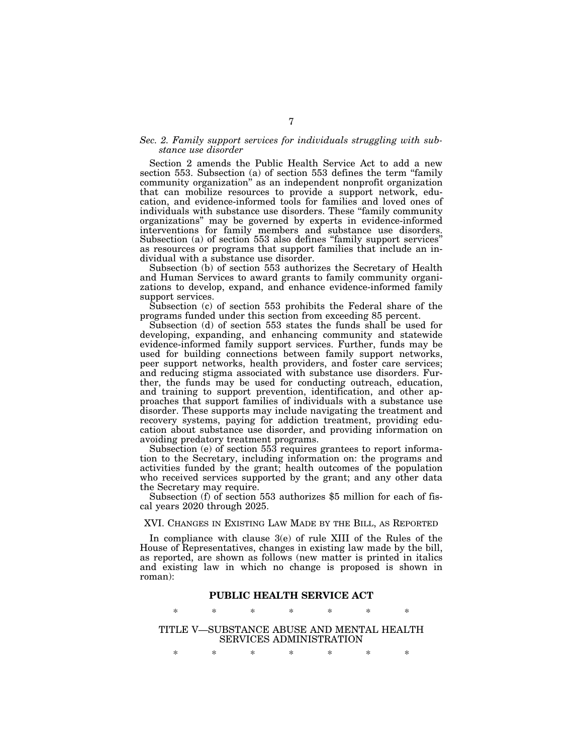## *Sec. 2. Family support services for individuals struggling with substance use disorder*

Section 2 amends the Public Health Service Act to add a new section 553. Subsection (a) of section 553 defines the term ''family community organization'' as an independent nonprofit organization that can mobilize resources to provide a support network, education, and evidence-informed tools for families and loved ones of individuals with substance use disorders. These ''family community organizations'' may be governed by experts in evidence-informed interventions for family members and substance use disorders. Subsection (a) of section 553 also defines "family support services" as resources or programs that support families that include an individual with a substance use disorder.

Subsection (b) of section 553 authorizes the Secretary of Health and Human Services to award grants to family community organizations to develop, expand, and enhance evidence-informed family support services.

Subsection (c) of section 553 prohibits the Federal share of the programs funded under this section from exceeding 85 percent.

Subsection (d) of section 553 states the funds shall be used for developing, expanding, and enhancing community and statewide evidence-informed family support services. Further, funds may be used for building connections between family support networks, peer support networks, health providers, and foster care services; and reducing stigma associated with substance use disorders. Further, the funds may be used for conducting outreach, education, and training to support prevention, identification, and other approaches that support families of individuals with a substance use disorder. These supports may include navigating the treatment and recovery systems, paying for addiction treatment, providing education about substance use disorder, and providing information on avoiding predatory treatment programs.

Subsection (e) of section 553 requires grantees to report information to the Secretary, including information on: the programs and activities funded by the grant; health outcomes of the population who received services supported by the grant; and any other data the Secretary may require.

Subsection (f) of section 553 authorizes \$5 million for each of fiscal years 2020 through 2025.

XVI. CHANGES IN EXISTING LAW MADE BY THE BILL, AS REPORTED

In compliance with clause 3(e) of rule XIII of the Rules of the House of Representatives, changes in existing law made by the bill, as reported, are shown as follows (new matter is printed in italics and existing law in which no change is proposed is shown in roman):

## **PUBLIC HEALTH SERVICE ACT**

\* \* \* \* \* \* \*

TITLE V—SUBSTANCE ABUSE AND MENTAL HEALTH SERVICES ADMINISTRATION

\* \* \* \* \* \* \*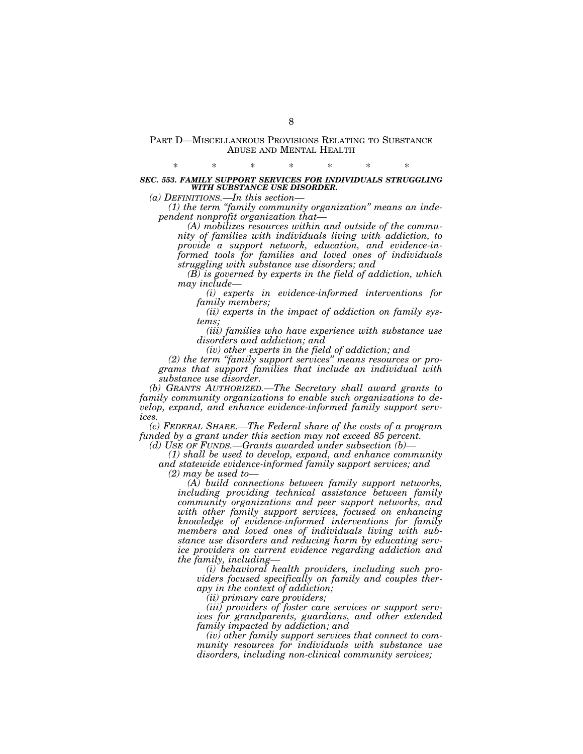# PART D—MISCELLANEOUS PROVISIONS RELATING TO SUBSTANCE ABUSE AND MENTAL HEALTH

## \* \* \* \* \* \* \* *SEC. 553. FAMILY SUPPORT SERVICES FOR INDIVIDUALS STRUGGLING WITH SUBSTANCE USE DISORDER.*

*(a) DEFINITIONS.—In this section—* 

*(1) the term ''family community organization'' means an independent nonprofit organization that—* 

*(A) mobilizes resources within and outside of the community of families with individuals living with addiction, to provide a support network, education, and evidence-informed tools for families and loved ones of individuals struggling with substance use disorders; and* 

*(B) is governed by experts in the field of addiction, which may include—* 

*(i) experts in evidence-informed interventions for family members;* 

*(ii) experts in the impact of addiction on family systems;* 

*(iii) families who have experience with substance use disorders and addiction; and* 

*(iv) other experts in the field of addiction; and* 

*(2) the term ''family support services'' means resources or programs that support families that include an individual with substance use disorder.* 

*(b) GRANTS AUTHORIZED.—The Secretary shall award grants to family community organizations to enable such organizations to develop, expand, and enhance evidence-informed family support services.* 

*(c) FEDERAL SHARE.—The Federal share of the costs of a program funded by a grant under this section may not exceed 85 percent.* 

*(d) USE OF FUNDS.—Grants awarded under subsection (b)—* 

*(1) shall be used to develop, expand, and enhance community and statewide evidence-informed family support services; and* 

*(2) may be used to—* 

*(A) build connections between family support networks, including providing technical assistance between family community organizations and peer support networks, and with other family support services, focused on enhancing knowledge of evidence-informed interventions for family members and loved ones of individuals living with substance use disorders and reducing harm by educating service providers on current evidence regarding addiction and the family, including—* 

*(i) behavioral health providers, including such providers focused specifically on family and couples therapy in the context of addiction;* 

*(ii) primary care providers;* 

*(iii) providers of foster care services or support services for grandparents, guardians, and other extended family impacted by addiction; and* 

*(iv) other family support services that connect to community resources for individuals with substance use disorders, including non-clinical community services;*